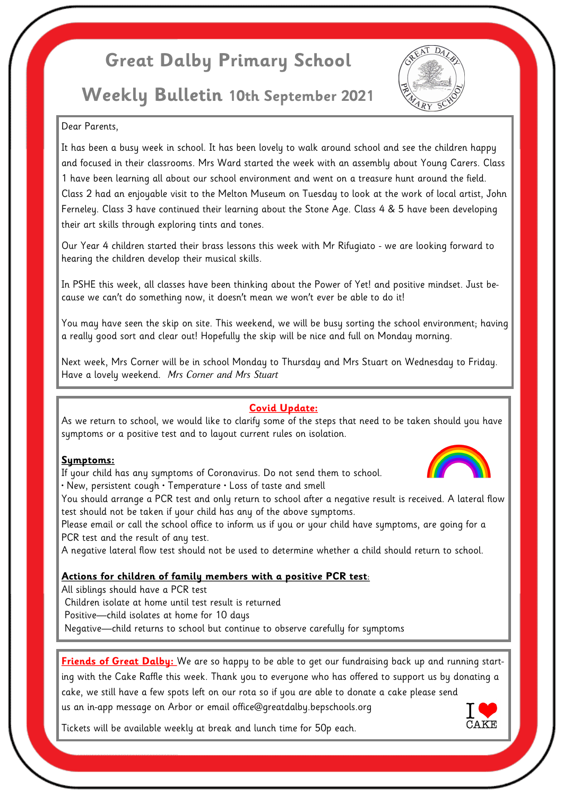# **Great Dalby Primary School**

# **Weekly Bulletin 10th September 2021**



### Dear Parents,

It has been a busy week in school. It has been lovely to walk around school and see the children happy and focused in their classrooms. Mrs Ward started the week with an assembly about Young Carers. Class 1 have been learning all about our school environment and went on a treasure hunt around the field. Class 2 had an enjoyable visit to the Melton Museum on Tuesday to look at the work of local artist, John Ferneley. Class 3 have continued their learning about the Stone Age. Class 4 & 5 have been developing their art skills through exploring tints and tones.

Our Year 4 children started their brass lessons this week with Mr Rifugiato - we are looking forward to hearing the children develop their musical skills.

In PSHE this week, all classes have been thinking about the Power of Yet! and positive mindset. Just because we can't do something now, it doesn't mean we won't ever be able to do it!

You may have seen the skip on site. This weekend, we will be busy sorting the school environment; having a really good sort and clear out! Hopefully the skip will be nice and full on Monday morning.

Next week, Mrs Corner will be in school Monday to Thursday and Mrs Stuart on Wednesday to Friday. Have a lovely weekend. *Mrs Corner and Mrs Stuart*

## **Covid Update:**

As we return to school, we would like to clarify some of the steps that need to be taken should you have symptoms or a positive test and to layout current rules on isolation.

#### **Symptoms:**

If your child has any symptoms of Coronavirus. Do not send them to school.

• New, persistent cough • Temperature • Loss of taste and smell

You should arrange a PCR test and only return to school after a negative result is received. A lateral flow test should not be taken if your child has any of the above symptoms.

Please email or call the school office to inform us if you or your child have symptoms, are going for a PCR test and the result of any test.

A negative lateral flow test should not be used to determine whether a child should return to school.

# **Actions for children of family members with a positive PCR test**:

All siblings should have a PCR test

Children isolate at home until test result is returned

Positive—child isolates at home for 10 days

Negative—child returns to school but continue to observe carefully for symptoms

**Friends of Great Dalby:** We are so happy to be able to get our fundraising back up and running starting with the Cake Raffle this week. Thank you to everyone who has offered to support us by donating a cake, we still have a few spots left on our rota so if you are able to donate a cake please send us an in-app message on Arbor or email office@greatdalby.bepschools.org

Tickets will be available weekly at break and lunch time for 50p each.



CAKE